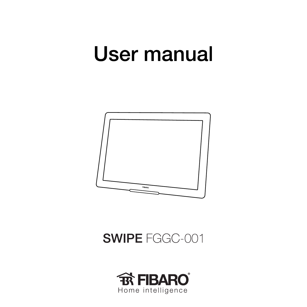# **User manual**



**SWIPE FGGC-001** 

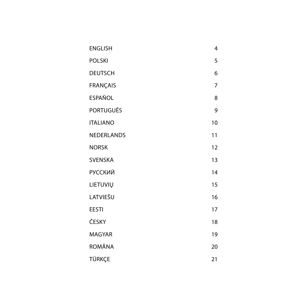| <b>ENGLISH</b>    | 4  |
|-------------------|----|
| <b>POLSKI</b>     | 5  |
| <b>DEUTSCH</b>    | 6  |
| <b>FRANÇAIS</b>   | 7  |
| <b>ESPAÑOL</b>    | 8  |
| PORTUGUÊS         | 9  |
| <b>ITALIANO</b>   | 10 |
| <b>NEDERLANDS</b> | 11 |
| <b>NORSK</b>      | 12 |
| <b>SVENSKA</b>    | 13 |
| <b>РУССКИЙ</b>    | 14 |
| LIETUVIŲ          | 15 |
| LATVIEŠU          | 16 |
| <b>EESTI</b>      | 17 |
| ČESKY             | 18 |
| <b>MAGYAR</b>     | 19 |
| ROMÂNA            | 20 |
| TÜRKCE            | 21 |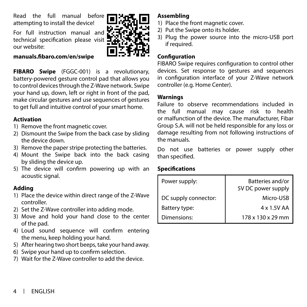<span id="page-3-0"></span>Read the full manual before attempting to install the device!

For full instruction manual and technical specification please visit our website:

#### **manuals.fibaro.com/en/swipe**



**FIBARO Swipe** (FGGC-001) is a revolutionary, battery-powered gesture control pad that allows you to control devices through the Z-Wave network. Swipe your hand up, down, left or right in front of the pad, make circular gestures and use sequences of gestures to get full and intuitive control of your smart home.

#### **Activation**

- 1) Remove the front magnetic cover.
- 2) Dismount the Swipe from the back case by sliding the device down.
- 3) Remove the paper stripe protecting the batteries.
- 4) Mount the Swipe back into the back casing by sliding the device up.
- 5) The device will confirm powering up with an acoustic signal.

## **Adding**

- 1) Place the device within direct range of the Z-Wave controller.
- 2) Set the Z-Wave controller into adding mode.
- 3) Move and hold your hand close to the center of the pad.
- 4) Loud sound sequence will confirm entering the menu, keep holding your hand.
- 5) After hearing two short beeps, take your hand away.
- 6) Swipe your hand up to confirm selection.
- 7) Wait for the Z-Wave controller to add the device.

# **Assembling**

- 1) Place the front magnetic cover.
- 2) Put the Swipe onto its holder.
- 3) Plug the power source into the micro-USB port if required.

# **Configuration**

FIBARO Swipe requires configuration to control other devices. Set response to gestures and sequences in configuration interface of your Z-Wave network controller (e.g. Home Center).

# **Warnings**

Failure to observe recommendations included in the full manual may cause risk to health or malfunction of the device. The manufacturer, Fibar Group S.A. will not be held responsible for any loss or damage resulting from not following instructions of the manuals.

Do not use batteries or power supply other than specified.

# **Specifications**

| Power supply:        | Batteries and/or<br>5V DC power supply |
|----------------------|----------------------------------------|
| DC supply connector: | Micro-USB                              |
| Battery type:        | 4 x 1.5V AA                            |
| Dimensions:          | 178 x 130 x 29 mm                      |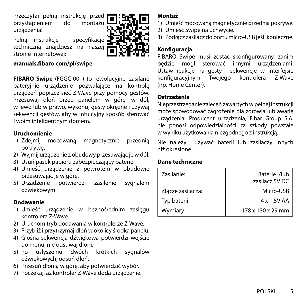<span id="page-4-0"></span>Przeczytaj pełną instrukcję przed przystąpieniem do montażu urządzenia!

Pełną instrukcję i specyfikację techniczną znajdziesz na naszej stronie internetowej:



#### **manuals.fibaro.com/pl/swipe**

**FIBARO Swipe** (FGGC-001) to rewolucyjne, zasilane bateryjnie urządzenie pozwalające na kontrolę urządzeń poprzez sieć Z-Wave przy pomocy gestów. Przesuwaj dłoń przed panelem w górę, w dół, w lewo lub w prawo, wykonuj gesty okrężne i używaj sekwencji gestów, aby w intuicyjny sposób sterować Twoim inteligentnym domem.

## **Uruchomienie**

- 1) Zdejmij mocowaną magnetycznie przednią pokrywę.
- 2) Wyjmij urządzenie z obudowy przesuwając je w dół.
- 3) Usuń pasek papieru zabezpieczający baterie.
- 4) Umieść urządzenie z powrotem w obudowie przesuwając je w górę.
- 5) Urządzenie potwierdzi zasilenie sygnałem dźwiękowym.

#### **Dodawanie**

- 1) Umieść urządzenie w bezpośrednim zasięgu kontrolera Z-Wave.
- 2) Uruchom tryb dodawania w kontrolerze Z-Wave.
- 3) Przybliż i przytrzymaj dłoń w okolicy środka panelu.
- 4) Głośna sekwencja dźwiękowa potwierdzi wejście do menu, nie odsuwaj dłoni.
- 5) Po usłyszeniu dwóch krótkich sygnałów dźwiękowych, odsuń dłoń.
- 6) Przesuń dłonią w górę, aby potwierdzić wybór.
- 7) Poczekaj, aż kontroler Z-Wave doda urządzenie.

## **Montaż**

- 1) Umieść mocowaną magnetycznie przednią pokrywę.
- 2) Umieść Swipe na uchwycie.
- 3) Podłącz zasilacz do portu micro-USB jeśli konieczne.

# **Konfiguracja**

FIBARO Swipe musi zostać skonfigurowany, zanim będzie mógł sterować innymi urządzeniami. Ustaw reakcje na gesty i sekwencje w interfejsie Twojego kontrolera Z-Wave (np. Home Center).

#### **Ostrzeżenia**

Nieprzestrzeganie zaleceń zawartych w pełnej instrukcji może spowodować zagrożenie dla zdrowia lub awarię urządzenia. Producent urządzenia, Fibar Group S.A. nie ponosi odpowiedzialności za szkody powstałe w wyniku użytkowania niezgodnego z instrukcją.

Nie należy używać baterii lub zasilaczy innych niż określone.

## **Dane techniczne**

| Zasilanie:        | Baterie i/lub<br>zasilacz 5V DC |
|-------------------|---------------------------------|
| Złącze zasilacza: | Micro-USB                       |
| Typ baterii:      | 4 x 1.5V AA                     |
| Wymiary:          | 178 x 130 x 29 mm               |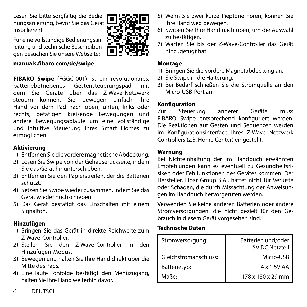<span id="page-5-0"></span>Lesen Sie bitte sorgfältig die Bedienungsanleitung, bevor Sie das Gerät installieren!

Für eine vollständige Bedienungsanleitung und technische Beschreibungen besuchen Sie unsere Webseite:

#### **manuals.fibaro.com/de/swipe**

**FIBARO Swipe** (FGGC-001) ist ein revolutionäres, Gestensteuerungspad mit dem Sie Geräte über das Z-Wave-Netzwerk steuern können. Sie bewegen einfach Ihre Hand vor dem Pad nach oben, unten, links oder rechts, betätigen kreisende Bewegungen und andere Bewegungsabläufe um eine vollständige und intuitive Steuerung Ihres Smart Homes zu ermöglichen.

## **Aktivierung**

- 1) Entfernen Sie die vordere magnetische Abdeckung.
- 2) Lösen Sie Swipe von der Gehäuserückseite, indem Sie das Gerät hinunterschieben.
- 3) Entfernen Sie den Papierstreifen, der die Batterien schützt.
- 4) Setzen Sie Swipe wieder zusammen, indem Sie das Gerät wieder hochschieben.
- 5) Das Gerät bestätigt das Einschalten mit einem Signalton.

## **Hinzufügen**

- 1) Bringen Sie das Gerät in direkte Reichweite zum Z-Wave-Controller.
- 2) Stellen Sie den Z-Wave-Controller in den Hinzufügen-Modus.
- 3) Bewegen und halten Sie Ihre Hand direkt über die Mitte des Pads.
- 4) Eine laute Tonfolge bestätigt den Menüzugang, halten Sie Ihre Hand weiterhin davor.
- 5) Wenn Sie zwei kurze Pieptöne hören, können Sie Ihre Hand weg bewegen.
- 6) Swipen Sie Ihre Hand nach oben, um die Auswahl zu bestätigen.
- 7) Warten Sie bis der Z-Wave-Controller das Gerät hinzugefügt hat.

#### **Montage**

- 1) Bringen Sie die vordere Magnetabdeckung an.
- 2) Sie Swipe in die Halterung.
- 3) Bei Bedarf schließen Sie die Stromquelle an den Micro-USB-Port an.

# **Konfiguration**

Zur Steuerung anderer Geräte muss FIBARO Swipe entsprechend konfiguriert werden. Die Reaktionen auf Gesten und Sequenzen werden im Konfigurationsinterface Ihres Z-Wave Netzwerk Controllers (z.B. Home Center) eingestellt.

#### **Warnung**

Bei Nichteinhaltung der im Handbuch erwähnten Empfehlungen kann es eventuell zu Gesundheitsrisiken oder Fehlfunktionen des Gerätes kommen. Der Hersteller, Fibar Group S.A., haftet nicht für Verluste oder Schäden, die durch Missachtung der Anweisungen im Handbuch hervorgerufen werden.

Verwenden Sie keine anderen Batterien oder andere Stromversorgungen, die nicht gezielt für den Gebrauch in diesem Gerät vorgesehen sind.

# **Technische Daten**

| Stromversorgung:      | Batterien und/oder<br>5V DC Netzteil |
|-----------------------|--------------------------------------|
| Gleichstromanschluss: | Micro-USB                            |
| Batterietyp:          | 4 x 1.5V AA                          |
| Maße <sup>.</sup>     | 178 x 130 x 29 mm                    |

6 DEUTSCH

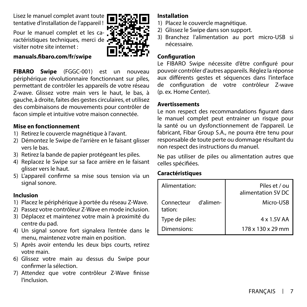<span id="page-6-0"></span>Lisez le manuel complet avant toute tentative d'installation de l'appareil !

Pour le manuel complet et les caractéristiques techniques, merci de visiter notre site internet :

#### **manuals.fibaro.com/fr/swipe**

**FIBARO Swipe** (FGGC-001) est un nouveau périphérique révolutionnaire fonctionnant sur piles, permettant de contrôler les appareils de votre réseau Z-wave. Glissez votre main vers le haut, le bas, à gauche, à droite, faites des gestes circulaires, et utilisez des combinaisons de mouvements pour contrôler de facon simple et intuitive votre maison connectée.

#### **Mise en fonctionnement**

- 1) Retirez le couvercle magnétique à l'avant.
- 2) Démontez le Swipe de l'arrière en le faisant glisser vers le bas.
- 3) Retirez la bande de papier protégeant les piles.
- 4) Replacez le Swipe sur sa face arrière en le faisant glisser vers le haut.
- 5) L'appareil confirme sa mise sous tension via un signal sonore.

#### **Inclusion**

- 1) Placez le périphérique à portée du réseau Z-Wave.
- 2) Passez votre contrôleur Z-Wave en mode inclusion.
- 3) Déplacez et maintenez votre main à proximité du centre du pad.
- 4) Un signal sonore fort signalera l'entrée dans le menu, maintenez votre main en position.
- 5) Après avoir entendu les deux bips courts, retirez votre main.
- 6) Glissez votre main au dessus du Swipe pour confirmer la sélection.
- 7) Attendez que votre contrôleur Z-Wave finisse l'inclusion.

## **Installation**

- 1) Placez le couvercle magnétique.
- 2) Glissez le Swipe dans son support.
- 3) Branchez l'alimentation au port micro-USB si nécessaire.

## **Configuration**

Le FIBARO Swipe nécessite d'être configuré pour pouvoir contrôler d'autres appareils. Réglez la réponse aux différents gestes et séquences dans l'interface de configuration de votre contrôleur Z-wave (p. ex. Home Center).

#### **Avertissements**

Le non respect des recommandations figurant dans le manuel complet peut entrainer un risque pour la santé ou un dysfonctionnement de l'appareil. Le fabricant, Fibar Group S.A., ne pourra être tenu pour responsable de toute perte ou dommage résultant du non respect des instructions du manuel.

Ne pas utiliser de piles ou alimentation autres que celles spécifiées.

## **Caractéristiques**

| Alimentation:                      | Piles et / ou<br>alimentation 5V DC |
|------------------------------------|-------------------------------------|
| d'alimen-<br>Connecteur<br>tation: | Micro-USB                           |
| Type de piles:                     | 4 x 1.5V AA                         |
| Dimensions:                        | 178 x 130 x 29 mm                   |



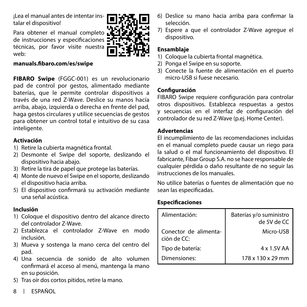<span id="page-7-0"></span>¡Lea el manual antes de intentar instalar el dispositivo!

Para obtener el manual completo **LE** de instrucciones y especificaciones técnicas, por favor visite nuestra web:



**FIBARO Swipe** (FGGC-001) es un revolucionario pad de control por gestos, alimentado mediante baterías, que le permite controlar dispositivos a través de una red Z-Wave. Deslice su manos hacía arriba, abajo, izquierda o derecha en frente del pad, haga gestos circulares y utilice secuencias de gestos para obtener un control total e intuitivo de su casa inteligente.

#### **Activación**

- 1) Retire la cubierta magnética frontal.
- 2) Desmonte el Swipe del soporte, deslizando el dispositivo hacia abajo.
- 3) Retire la tira de papel que protege las baterías.
- 4) Monte de nuevo el Swipe en el soporte, deslizando el dispositivo hacia arriba.
- 5) El dispositivo confirmará su activación mediante una señal acústica.

## **Inclusión**

- 1) Coloque el dispositivo dentro del alcance directo del controlador Z-Wave.
- 2) Establezca el controlador Z-Wave en modo inclusión.
- 3) Mueva y sostenga la mano cerca del centro del pad.
- 4) Una secuencia de sonido de alto volumen confirmará el acceso al menú, mantenga la mano en su posición.
- 5) Tras oír dos cortos pitidos, retire la mano.
- 8 ESPAÑOL



7) Espere a que el controlador Z-Wave agregue el dispositivo.

# **Ensamblaje**

- 1) Coloque la cubierta frontal magnética.
- 2) Ponga el Swipe en su soporte.
- 3) Conecte la fuente de alimentación en el puerto micro-USB si fuese necesario.

# **Configuración**

FIBARO Swipe requiere configuración para controlar otros dispositivos. Establezca respuestas a gestos y secuencias en el interfaz de configuración del controlador de su red Z-Wave (p.ej. Home Center).

## **Advertencias**

El incumplimiento de las recomendaciones incluidas en el manual completo puede causar un riego para la salud o el mal funcionamiento del dispositivo. El fabricante, Fibar Group S.A. no se hace responsable de cualquier pérdida o daño resultante de no seguir las instrucciones de los manuales.

No utilice baterías o fuentes de alimentación que no sean las especificadas.

# **Especificaciones**

| Alimentación:                        | Baterías y/o suministro<br>de 5V de CC |
|--------------------------------------|----------------------------------------|
| Conector de alimenta-<br>ción de CC: | Micro-USB                              |
| Tipo de batería:                     | 4 x 1.5V AA                            |
| Dimensiones:                         | 178 x 130 x 29 mm                      |

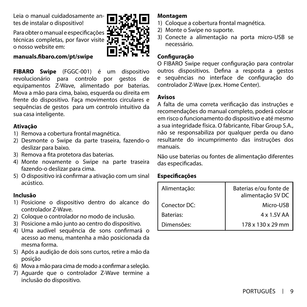<span id="page-8-0"></span>Leia o manual cuidadosamente antes de instalar o dispositivo!

Para obter o manual e especificações técnicas completas, por favor visite o nosso website em:

#### **manuals.fibaro.com/pt/swipe**

**FIBARO Swipe** (FGGC-001) é um dispositivo revolucionário para controlo por gestos de equipamentos Z-Wave, alimentado por baterias. Mova a mão para cima, baixo, esquerda ou direita em frente do dispositivo. Faça movimentos circulares e sequências de gestos para um controlo intuitivo da sua casa inteligente.

#### **Ativação**

- 1) Remova a cobertura frontal magnética.
- 2) Desmonte o Swipe da parte traseira, fazendo-o deslizar para baixo.
- 3) Remova a fita protetora das baterias.
- 4) Monte novamente o Swipe na parte traseira fazendo-o deslizar para cima.
- 5) O dispositivo irá confirmar a ativação com um sinal acústico.

## **Inclusão**

- 1) Posicione o dispositivo dentro do alcance do controlador Z-Wave.
- 2) Coloque o controlador no modo de inclusão.
- 3) Posicione a mão junto ao centro do dispositivo.
- 4) Uma audível sequência de sons confirmará o acesso ao menu, mantenha a mão posicionada da mesma forma.
- 5) Após a audição de dois sons curtos, retire a mão da posição
- 6) Mova a mão para cima de modo a confirmar a seleção.
- 7) Aguarde que o controlador Z-Wave termine a inclusão do dispositivo.

#### **Montagem**

- 1) Coloque a cobertura frontal magnética.
- 2) Monte o Swipe no suporte.
- 3) Conecte a alimentação na porta micro-USB se necessário.

# **Configuração**

O FIBARO Swipe requer configuração para controlar outros dispositivos. Defina a resposta a gestos e sequências no interface de configuração do controlador Z-Wave (p.ex. Home Center).

#### **Avisos**

A falta de uma correta verificação das instruções e recomendações do manual completo, poderá colocar em risco o funcionamento do dispositivo e até mesmo a sua integridade física. O fabricante, Fibar Group S.A., não se responsabiliza por qualquer perda ou dano resultante do incumprimento das instruções dos manuais.

Não use baterias ou fontes de alimentação diferentes das especificadas.

# **Especificações**

| Alimentação: | Baterias e/ou fonte de<br>alimentação 5V DC |
|--------------|---------------------------------------------|
| Conector DC: | Micro-USB                                   |
| Baterias:    | 4 x 1.5V AA                                 |
| Dimensões:   | 178 x 130 x 29 mm                           |



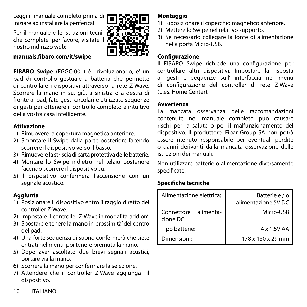<span id="page-9-0"></span>Leggi il manuale completo prima di iniziare ad installare la periferica!

Per il manuale e le istruzioni tecniche complete, per favore, visitate il nostro indirizzo web:

#### **manuals.fibaro.com/it/swipe**

**FIBARO Swipe** (FGGC-001) è rivoluzionario, e' un pad di controllo gestuale a batteria che permette di controllare i dispositivi attraverso la rete Z-Wave. Scorrere la mano in su, giù, a sinistra o a destra di fronte al pad, fate gesti circolari e utilizzate sequenze di gesti per ottenere il controllo completo e intuitivo della vostra casa intelligente.

#### **Attivazione**

- 1) Rimuovere la copertura magnetica anteriore.
- 2) Smontare il Swipe dalla parte posteriore facendo scorrere il dispositivo verso il basso.
- 3) Rimuovere la striscia di carta protettiva delle batterie.
- 4) Montare lo Swipe indietro nel telaio posteriore facendo scorrere il dispositivo su.
- 5) Il dispositivo confermerà l'accensione con un segnale acustico.

#### **Aggiunta**

- 1) Posizionare il dispositivo entro il raggio diretto del controller Z-Wave.
- 2) Impostare il controller Z-Wave in modalità 'add on'.
- 3) Spostare e tenere la mano in prossimità' del centro del pad.
- 4) Una forte sequenza di suono confermerà che siete entrati nel menu, poi tenere premuta la mano.
- 5) Dopo aver ascoltato due brevi segnali acustici, portare via la mano.
- 6) Scorrere la mano per confermare la selezione.
- 7) Attendere che il controller Z-Wave aggiunga il dispositivo.

## **Montaggio**

- 1) Riposizionare il coperchio magnetico anteriore.
- 2) Mettere lo Swipe nel relativo supporto.
- 3) Se necessario collegare la fonte di alimentazione nella porta Micro-USB.

#### **Configurazione**

Il FIBARO Swipe richiede una configurazione per controllare altri dispositivi. Impostare la risposta ai gesti e sequenze sull' interfaccia nel menu di configurazione del controller di rete Z-Wave (p.es. Home Center).

#### **Avvertenza**

La mancata osservanza delle raccomandazioni contenute nel manuale completo può causare rischi per la salute o per il malfunzionamento del dispositivo. Il produttore, Fibar Group SA non potrà essere ritenuto responsabile per eventuali perdite o danni derivanti dalla mancata osservazione delle istruzioni dei manuali.

Non utilizzare batterie o alimentazione diversamente specificate.

## **Specifiche tecniche**

| Alimentazione elettrica:          | Batterie e / o<br>alimentazione 5V DC |
|-----------------------------------|---------------------------------------|
| Connettore alimenta-<br>zione DC: | Micro-USB                             |
| Tipo batterie:                    | 4 x 1.5V AA                           |
| Dimensioni:                       | 178 x 130 x 29 mm                     |

10 ITALIANO

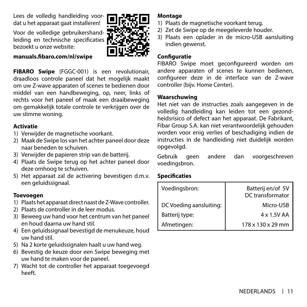<span id="page-10-0"></span>Lees de volledig handleiding voordat u het apparaat gaat installeren!

Voor de volledige gebruikershandleiding en technische specificaties bezoekt u onze website:

#### **manuals.fibaro.com/nl/swipe**

**FIBARO Swipe** (FGGC-001) is een revolutionair, draadloos controle paneel dat het mogelijk maakt om uw Z-wave apparaten of scenes te bedienen door middel van een handbeweging, op, neer, links of rechts voor het paneel of maak een draaibeweging om gemakkelijk totale controle te verkrijgen over de uw slimme woning.

#### **Activatie**

- 1) Verwijder de magnetische voorkant.
- 2) Maak de Swipe los van het achter paneel door deze naar beneden te schuiven.
- 3) Verwijder de papieren strip van de batterij.
- 4) Plaats de Swipe terug op het achter paneel door deze omhoog te schuiven.
- 5) Het apparaat zal de activering bevestigen d.m.v. een geluidssignaal.

## **Toevoegen**

- 1) Plaats het apparaat direct naast de Z-Wave controller.
- 2) Plaats de controller in de leer modus.
- 3) Beweeg uw hand voor het centrum van het paneel en houd daarna uw hand stil.
- 4) Een geluidssignaal bevestigd de menukeuze, houd uw hand stil.
- 5) Na 2 korte geluidssignalen haalt u uw hand weg.
- 6) Bevestig de keuze door een Swipe beweging met uw hand te maken voor de paneel.
- 7) Wacht tot de controller het apparaat toegevoegd heeft.

#### **Montage**

- 1) Plaats de magnetische voorkant terug.
- 2) Zet de Swipe op de meegeleverde houder.
- 3) Plaats een oplader in de micro-USB aansluiting indien gewenst.

# **Configuratie**

FIBARO Swipe moet geconfigureerd worden om andere apparaten of scenes te kunnen bedienen, configureer deze in de interface van de Z-wave controller (bijv. Home Center).

## **Waarschuwing**

Het niet van de instructies zoals aangegeven in de volledig handleiding kan leiden tot een gezondheidsrisico of defect aan het apparaat. De Fabrikant, Fibar Group S.A. kan niet verantwoordelijk gehouden worden voor enig verlies of beschadiging indien de instructies in de handleiding niet duidelijk worden opgevolgd.

Gebruik geen andere dan voorgeschreven voedingsbron.

# **Specificaties**

| Voedingsbron:           | Batterij en/of 5V<br>DC transformator |
|-------------------------|---------------------------------------|
| DC Voeding aansluiting: | Micro-USB                             |
| Batterij type:          | 4 x 1.5V AA                           |
| Afmetingen:             | 178 x 130 x 29 mm                     |



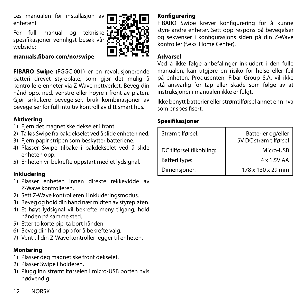<span id="page-11-0"></span>Les manualen før installasjon av enheten!

For full manual og tekniske spesifikasjoner vennligst besøk vår webside:

## **manuals.fibaro.com/no/swipe**

**FIBARO Swipe** (FGGC-001) er en revolusjonerende batteri drevet styreplate, som gjør det mulig å kontrollere enheter via Z-Wave nettverket. Beveg din hånd opp, ned, venstre eller høyre i front av platen. Gjør sirkulære bevegelser, bruk kombinasjoner av bevegelser for full intuitiv kontroll av ditt smart hus.

## **Aktivering**

- 1) Fiern det magnetiske dekselet i front.
- 2) Ta løs Swipe fra bakdekselet ved å slide enheten ned.
- 3) Fjern papir stripen som beskytter batteriene.
- 4) Plasser Swipe tilbake i bakdekselet ved å slide enheten opp.
- 5) Enheten vil bekrefte oppstart med et lydsignal.

## **Inkludering**

- 1) Plasser enheten innen direkte rekkevidde av Z-Wave kontrolleren.
- 2) Sett Z-Wave kontrolleren i inkluderingsmodus.
- 3) Beveg og hold din hånd nær midten av styreplaten.
- 4) Et høyt lydsignal vil bekrefte meny tilgang, hold hånden på samme sted.
- 5) Etter to korte pip, ta bort hånden.
- 6) Beveg din hånd opp for å bekrefte valg.
- 7) Vent til din Z-Wave kontroller legger til enheten.

# **Montering**

- 1) Plasser deg magnetiske front dekselet.
- 2) Plasser Swipe i holderen.
- 3) Plugg inn strømtilførselen i micro-USB porten hvis nødvendig.

# **Konfigurering**

FIBARO Swipe krever konfigurering for å kunne styre andre enheter. Sett opp respons på bevegelser og sekvenser i konfigurasjons siden på din Z-Wave kontroller (f.eks. Home Center).

# **Advarsel**

Ved å ikke følge anbefalinger inkludert i den fulle manualen, kan utgjøre en risiko for helse eller feil på enheten. Produsenten, Fibar Group S.A. vil ikke stå ansvarlig for tap eller skade som følge av at instruksjoner i manualen ikke er fulgt.

Ikke benytt batterier eller strømtilførsel annet enn hva som er spesifisert.

# **Spesifikasjoner**

| Strøm tilførsel:         | Batterier og/eller<br>5V DC strøm tilførsel |
|--------------------------|---------------------------------------------|
| DC tilførsel tilkobling: | Micro-USB                                   |
| Batteri type:            | 4 x 1.5V AA                                 |
| Dimensjoner:             | 178 x 130 x 29 mm                           |

12 NORSK

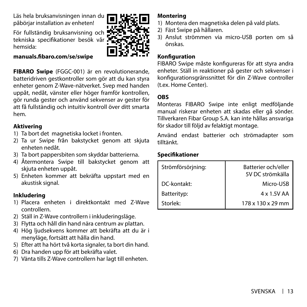<span id="page-12-0"></span>Läs hela bruksanvisningen innan du påbörjar installation av enheten!

För fullständig bruksanvisning och tekniska specifikationer besök vår hemsida:

#### **manuals.fibaro.com/se/swipe**

**FIBARO Swipe** (FGGC-001) är en revolutionerande, batteridriven gestkontroller som gör att du kan styra enheter genom Z-Wave-nätverket. Svep med handen uppåt, nedåt, vänster eller höger framför kontrollen, gör runda gester och använd sekvenser av gester för att få fullständig och intuitiv kontroll över ditt smarta hem.

## **Aktivering**

- 1) Ta bort det magnetiska locket i fronten.
- 2) Ta ur Swipe från bakstycket genom att skjuta enheten nedåt.
- 3) Ta bort pappersbiten som skyddar batterierna.
- 4) Återmontera Swipe till bakstycket genom att skjuta enheten uppåt.
- 5) Enheten kommer att bekräfta uppstart med en akustisk signal.

# **Inkludering**

- 1) Placera enheten i direktkontakt med Z-Wave controllern.
- 2) Ställ in Z-Wave controllern i inkluderingsläge.
- 3) Flytta och håll din hand nära centrum av plattan.
- 4) Hög ljudsekvens kommer att bekräfta att du är i menyläge, fortsätt att hålla din hand.
- 5) Efter att ha hört två korta signaler, ta bort din hand.
- 6) Dra handen upp för att bekräfta valet.
- 7) Vänta tills Z-Wave controllern har lagt till enheten.

## **Montering**

- 1) Montera den magnetiska delen på vald plats.
- 2) Fäst Swipe på hållaren.
- 3) Anslut strömmen via micro-USB porten om så önskas.

## **Konfiguration**

FIBARO Swipe måste konfigureras för att styra andra enheter. Ställ in reaktioner på gester och sekvenser i konfigurationsgränssnittet för din Z-Wave controller (t.ex. Home Center).

#### **OBS**

Monteras FIBARO Swipe inte enligt medföljande manual riskerar enheten att skadas eller gå sönder. Tillverkaren Fibar Group S.A. kan inte hållas ansvariga för skador till följd av felaktigt montage.

Använd endast batterier och strömadapter som tilltänkt.

## **Specifikationer**

| Strömförsörjning: | Batterier och/eller<br>5V DC strömkälla |
|-------------------|-----------------------------------------|
| DC-kontakt:       | Micro-USB                               |
| Batterityp:       | 4 x 1.5V AA                             |
| Storlek:          | 178 x 130 x 29 mm                       |



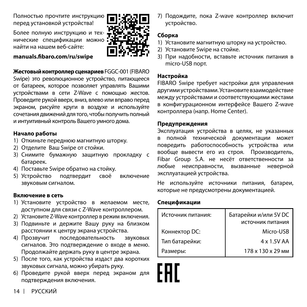<span id="page-13-0"></span>Полностью прочтите инструкцию перед установкой устройства!

Более полную инструкцию и технические спецификации можно найти на нашем веб-сайте:

#### **manuals.fibaro.com/ru/swipe**

**Жестовый контроллер сценариев** FGGC-001 (FIBARO

Swipe) это революционное устройство, питающееся от батареек, которое позволяет управлять Вашими устройствами в сети Z-Wave с помощью жестов. Проведите рукой вверх, вниз, влево или вправо перед экраном, рисуйте круги в воздухе и используйте сочетания движений для того, чтобы получить полный и интуитивный контроль Вашего умного дома.

#### **Начало работы**

- 1) Откиньте переднюю магнитную шторку.
- 2) Отделите Ваш Swipe от стойки.
- 3) Снимите бумажную защитную прокладку с батареек.
- 4) Поставьте Swipe обратно на стойку.
- 5) Устройство подтвердит своё включение звуковым сигналом.

#### **Включение в сеть**

- 1) Установите устройство в желаемом месте, доступном для связи с Z-Wave контроллером.
- 2) Установите Z-Wave контроллер в режим включения.
- 3) Подвиньте и держите Вашу руку на близком расстоянии к центру экрана устройства.
- 4) Прозвучит последовательность звуковых сигналов. Это подтверждение о входе в меню. Продолжайте держать руку в центре экрана.
- 5) После того, как устройства издаст два коротких звуковых сигнала, можно убирать руку.
- 6) Проведите рукой вверх перед экраном для подтверждения включения.

7) Подождите, пока Z-wave контроллер включит устройство.

# **Сборка**

- 1) Установите магнитную шторку на устройство.
- 2) Установите Swipe на стойке.
- 3) При надобности, вставьте источник питания в micro-USB порт.

## **Настройка**

FIBARO Swipe требует настройки для управления другими устройствами. Установите взаимодействие между устройствами и соответствующими жестами в конфигурационном интерфейсе Вашего Z-wave контроллера (напр. Home Center).

#### **Предупреждения**

Эксплуатация устройства в целях, не указанных в полной технической документации может повредить работоспособность устройства или вообще вывести его из строя. Производитель, Fibar Group S.A. не несёт ответственности за любые неисправности, вызванные неверной эксплуатацией устройства.

Не используйте источники питания, батареи, которые не предусмотрены документацией.

## **Спецификации**

| Источник питания: | Батарейки и/или 5V DC<br>источник питания |
|-------------------|-------------------------------------------|
|                   |                                           |
| Коннектор DC:     | Micro-USB                                 |
| Тип батарейки:    | 4 x 1.5V AA                               |
| Размеры:          | 178 x 130 x 29 MM                         |

14 РУССКИЙ

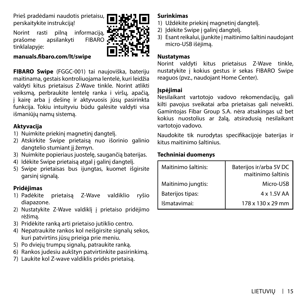<span id="page-14-0"></span>Prieš pradėdami naudotis prietaisu, perskaitykite instrukciją!

Norint rasti pilną informaciją, prašome apsilankyti FIBARO tinklalapyje:



#### **manuals.fibaro.com/lt/swipe**

**FIBARO Swipe** (FGGC-001) tai naujoviška, bateriju maitinama, gestais kontroliuojama lentelė, kuri leidžia valdyti kitus prietaisus Z-Wave tinkle. Norint atlikti veiksmą, perbraukite lentelę ranka i viršų, apačią, į kairę arba į dešinę ir aktyvuosis jūsų pasirinkta funkcija. Tokiu intuityviu būdu galėsite valdyti visa išmaniūjų namų sistemą.

## **Aktyvacija**

- 1) Nuimkite priekinį magnetinį dangtelį.
- 2) Atskirkite Swipe prietaisą nuo išorinio galinio dangtelio stumiant ji žemyn.
- 3) Nuimkite popieriaus juostelę, saugančią baterijas.
- 4) Idėkite Swipe prietaisa atgal į galinį dangtelį.
- 5) Swipe prietaisas bus ijungtas, kuomet išgirsite garsinį signalą.

# **Pridėjimas**

- 1) Padėkite prietaisą Z-Wave valdiklio ryšio diapazone.
- 2) Nustatykite Z-Wave valdiklį į prietaiso pridėjimo rėžimą.
- 3) Pridėkite ranką arti prietaiso jutiklio centro.
- 4) Nepatraukite rankos kol neišgirsite signalų sekos, kuri patvirtins jūsų prieiga prie meniu.
- 5) Po dviejų trumpų signalų, patraukite ranką.
- 6) Rankos judesiu aukštyn patvirtinkite pasirinkimą.
- 7) Laukite kol Z-wave valdiklis pridės prietaisą.

# **Surinkimas**

- 1) Uždėkite priekinį magnetinį dangtelį.
- 2) Idėkite Swipe į galinį dangtelį.
- 3) Esant reikalui, įjunkite į maitinimo šaltini naudojant micro-USB išėjimą.

## **Nustatymas**

Norint valdyti kitus prietaisus Z-Wave tinkle, nustatykite į kokius gestus ir sekas FIBARO Swipe reaguos (pvz., naudojant Home Center).

## **Įspėjimai**

Nesilaikant vartotojo vadovo rekomendacijų, gali kilti pavojus sveikatai arba prietaisas gali neiveikti. Gamintojas Fibar Group S.A. nėra atsakingas už bet kokius nuostolius ar žalą, atsiradusią nesilaikant vartotojo vadovo.

Naudokite tik nurodytas specifikacijoje baterijas ir kitus maitinimo šaltinius.

## **Techniniai duomenys**

| Maitinimo šaltinis: | Baterijos ir/arba 5V DC<br>maitinimo šaltinis |
|---------------------|-----------------------------------------------|
| Maitinimo jungtis:  | Micro-USB                                     |
| Baterijos tipas:    | 4 x 1.5V AA                                   |
| Išmatavimai:        | 178 x 130 x 29 mm                             |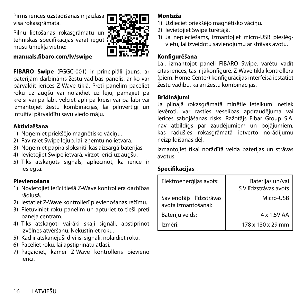<span id="page-15-0"></span>Pirms ierīces uzstādīšanas ir jāizlasa visa rokasgrāmata!

Pilnu lietošanas rokasgrāmatu un tehniskās specifikācijas varat iegūt mūsu tīmekļa vietnē:



#### **manuals.fibaro.com/lv/swipe**

**FIBARO Swipe** (FGGC-001) ir principiāli jauns, ar baterijām darbināms žestu vadības panelis, ar ko var pārvaldīt ierīces Z-Wave tīklā. Pretī panelim paceliet roku uz augšu vai nolaidiet uz leju, pamājiet pa kreisi vai pa labi, velciet apli pa kreisi vai pa labi vai izmantojiet žestu kombinācijas, lai pilnvērtīgi un intuitīvi pārvaldītu savu viedo māju.

## **Aktivizēšana**

- 1) Nonemiet priekšējo magnētisko vāciņu.
- 2) Pavirziet Swipe lejup, lai izņemtu no ietvara.
- 3) Nonemiet papīra sloksnīti, kas aizsargā baterijas.
- 4) Ievietojiet Swipe ietvarā, virzot ierīci uz augšu.
- 5) Tiks atskaņots signāls, apliecinot, ka ierīce ir ieslēgta.

## **Pievienošana**

- 1) Novietojiet ierīci tiešā Z-Wave kontrollera darbības rādiusā.
- 2) Iestatiet Z-Wave kontrollerī pievienošanas režīmu.
- 3) Pietuviniet roku panelim un apturiet to tieši pretī panela centram.
- 4) Tiks atskaņoti vairāki skali signāli, apstiprinot izvēlnes atvēršanu. Nekustiniet roku.
- 5) Kad ir atskanējuši divi īsi signāli, nolaidiet roku.
- 6) Paceliet roku, lai apstiprinātu atlasi.
- 7) Pagaidiet, kamēr Z-Wave kontrolleris pievieno ierīci.

## **Montāža**

- 1) Uzlieciet priekšējo magnētisko vāciņu.
- 2) Ievietojiet Swipe turētājā.
- 3) Ja nepieciešams, izmantojiet micro-USB pieslēgvietu, lai izveidotu savienojumu ar strāvas avotu.

## **Konfigurēšana**

Lai, izmantojot paneli FIBARO Swipe, varētu vadīt citas ierīces, tas ir jākonfigurē. Z-Wave tīkla kontrollera (piem. Home Center) konfigurācijas interfeisā iestatiet žestu vadību, kā arī žestu kombinācijas.

## **Brīdinājumi**

Ja pilnajā rokasgrāmatā minētie ieteikumi netiek ievēroti, var rasties veselības apdraudējuma vai ierīces sabojāšanas risks. Ražotājs Fibar Group S.A. nav atbildīgs par zaudējumiem un bojājumiem, kas radušies rokasgrāmatā ietverto norādījumu neizpildīšanas dēļ.

Izmantojiet tikai norādītā veida baterijas un strāvas avotus.

# **Specifikācijas**

| Elektroenerģijas avots:                        | Baterijas un/vai<br>5 V līdzstrāvas avots |
|------------------------------------------------|-------------------------------------------|
| Savienotājs līdzstrāvas<br>avota izmantošanai: | Micro-USB                                 |
| Bateriju veids:                                | 4 x 1.5V AA                               |
| Izmēri <sup>.</sup>                            | 178 x 130 x 29 mm                         |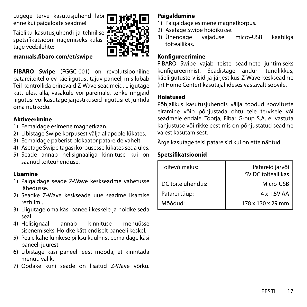<span id="page-16-0"></span>Lugege terve kasutusjuhend läbi enne kui paigaldate seadme!

Täieliku kasutusjuhendi ja tehnilise spetsifikatsiooni nägemiseks külastage veebilehte:

#### **manuals.fibaro.com/et/swipe**

**FIBARO Swipe** (FGGC-001) on revolutsiooniline patareitoitel olev käeliigutust tajuv paneel, mis lubab Teil kontrollida erinevaid Z-Wave seadmeid. Liigutage kätt üles, alla, vasakule või paremale, tehke ringjaid liigutusi või kasutage järjestikuseid liigutusi et juhtida oma nutikodu.

#### **Aktiveerimine**

- 1) Eemaldage esimene magnetkaan.
- 2) Libistage Swipe korpusest välja allapoole lükates.
- 3) Eemaldage paberist blokaator patareide vahelt.
- 4) Asetage Swipe tagasi korpusesse lükates seda üles.
- 5) Seade annab helisignaaliga kinnituse kui on saanud toiteühenduse.

#### **Lisamine**

- 1) Paigaldage seade Z-Wave keskseadme vahetusse lähedusse.
- 2) Seadke Z-Wave keskseade uue seadme lisamise rezhiimi.
- 3) Liigutage oma käsi paneeli keskele ja hoidke seda seal.
- 4) Helisignaal annab kinnituse menüüsse sisenemiseks. Hoidke kätt endiselt paneeli keskel.
- 5) Peale kahe lühikese piiksu kuulmist eemaldage käsi paneeli juurest.
- 6) Libistage käsi paneeli eest mööda, et kinnitada menüü valik.
- 7) Oodake kuni seade on lisatud Z-Wave võrku.

# **Paigaldamine**

- 1) Paigaldage esimene magnetkorpus.
- 2) Asetage Swipe hoidikusse.<br>3) Ühendage vajadusel
- 3) Ühendage vajadusel micro-USB kaabliga toiteallikas.

## **Konfigureerimine**

FIBARO Swipe vajab teiste seadmete juhtimiseks konfigureerimist. Seadistage anduri tundlikkus, käeliigutuste viisid ja järjestikus Z-Wave keskseadme (nt Home Center) kasutajaliideses vastavalt soovile.

#### **Hoiatused**

Põhjalikus kasutusjuhendis välja toodud soovituste eiramine võib põhjustada ohtu teie tervisele või seadmele endale. Tootja, Fibar Group S.A. ei vastuta kahjustuse või rikke eest mis on põhjustatud seadme valest kasutamisest.

Ärge kasutage teisi patareisid kui on ette nähtud.

## **Spetsifikatsioonid**

| Toitevõimalus:    | Patareid ja/või<br>5V DC toiteallikas |
|-------------------|---------------------------------------|
| DC toite ühendus: | Micro-USB                             |
| Patarei tüüp:     | 4 x 1.5V AA                           |
| Mõõdud:           | 178 x 130 x 29 mm                     |

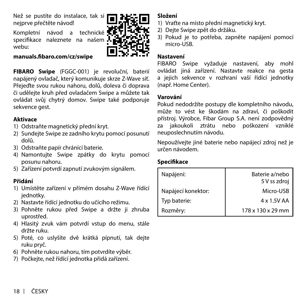<span id="page-17-0"></span>Než se pustíte do instalace, tak si nejprve přečtěte návod!

Kompletní návod a technické specifikace naleznete na našem . webu:

## **manuals.fibaro.com/cz/swipe**

**FIBARO Swipe** (FGGC-001) je revoluční, baterií napájený ovladač, který komunikuje skrze Z-Wave síť. Přejeďte svou rukou nahoru, dolů, doleva či doprava či udělejte kruh před ovladačem Swipe a můžete tak ovládat svůj chytrý domov. Swipe také podporuje sekvence gest.

#### **Aktivace**

- 1) Odstraňte magnetický přední kryt.
- 2) Sundejte Swipe ze zadního krytu pomocí posunutí dolů.
- 3) Odstraňte papír chránící baterie.
- 4) Namontujte Swipe zpátky do krytu pomocí posunu nahoru.
- 5) Zařízení potvrdí zapnutí zvukovým signálem.

#### **Přidání**

- 1) Umístěte zařízení v přímém dosahu Z-Wave řídící jednotky.
- 2) Nastavte řídící jednotku do učícího režimu.
- 3) Pohněte rukou před Swipe a držte ji zhruba uprostřed.
- 4) Hlasitý zvuk vám potvrdí vstup do menu, stále držte ruku.
- 5) Poté, co uslyšíte dvě krátká pípnutí, tak dejte ruku pryč.
- 6) Pohněte rukou nahoru, tím potvrdíte výběr.
- 7) Počkejte, než řídící jednotka přidá zařízení.

## **Složení**

- 1) Vraťte na místo přední magnetický kryt.
- 2) Dejte Swipe zpět do držáku.
- 3) Pokud je to potřeba, zapněte napájení pomocí micro-LISB.

## **Nastavení**

FIBARO Swipe vyžaduje nastavení, aby mohl ovládat jiná zařízení. Nastavte reakce na gesta a jejich sekvence v rozhraní vaší řídící jednotky (např. Home Center).

#### **Varování**

Pokud nedodržíte postupy dle kompletního návodu, může to vést ke škodám na zdraví, či poškodit přístroj. Výrobce, Fibar Group S.A. není zodpovědný za jakoukoli ztrátu nebo poškození vzniklé neuposlechnutím návodu.

Nepoužívejte jiné baterie nebo napájecí zdroj než je určen návodem.

## **Specifikace**

| Napájení:          | Baterie a/nebo<br>5 V ss zdroj |
|--------------------|--------------------------------|
| Napájecí konektor: | Micro-USB                      |
| Typ baterie:       | 4 x 1.5V AA                    |
| Rozměry:           | 178 x 130 x 29 mm              |

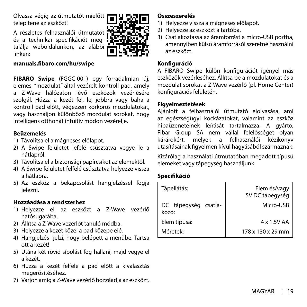<span id="page-18-0"></span>Olvassa végig az útmutatót mielőtt telepítené az eszközt!

A részletes felhasználói útmutatót és a technikai specifikációt megtalália weboldalunkon, az alábbi linken:



#### **manuals.fibaro.com/hu/swipe**

**FIBARO Swipe** (FGGC-001) egy forradalmian új, elemes, "mozdulat" által vezérelt kontroll pad, amely a Z-Wave hálózaton lévő eszközök vezérlésére szolgál. Húzza a kezét fel, le, jobbra vagy balra a kontroll pad előtt, végezzen körkörös mozdulatokat, vagy használjon különböző mozdulat sorokat, hogy intelligens otthonát intuitív módon vezérelje.

#### **Beüzemelés**

- 1) Távolítsa el a mágneses előlapot.
- 2) A Swipe felületet lefelé csúsztatva vegye le a hátlapról.
- 3) Távolítsa el a biztonsági papírcsíkot az elemektől.
- 4) A Swipe felületet felfelé csúsztatva helyezze vissza a hátlapra.
- 5) Az eszköz a bekapcsolást hangjelzéssel fogja ielezni.

## **Hozzáadása a rendszerhez**

- 1) Helyezze el az eszközt a Z-Wave vezérlő hatósugarába.
- 2) Állítsa a Z-Wave vezérlőt tanuló módba.
- 3) Helyezze a kezét közel a pad közepe elé.
- 4) Hangjelzés jelzi, hogy belépett a menübe. Tartsa ott a kezét!
- 5) Utána két rövid sípolást fog hallani, majd vegye el a kezét.
- 6) Húzza a kezét felfelé a pad előtt a kiválasztás megerősítéséhez.
- 7) Várjon amíg a Z-Wave vezérlő hozzáadja az eszközt.

# **Összeszerelés**

- 1) Helyezze vissza a mágneses előlapot.
- 2) Helyezze az eszközt a tartóba.
- 3) Csatlakoztassa az áramforrást a micro-USB portba, amennyiben külső áramforrásól szeretné használni az eszközt.

#### **Konfiguráció**

A FIBARO Swipe külön konfigurációt igényel más eszközök vezérléséhez. Állítsa be a mozdulatokat és a mozdulat sorokat a Z-Wave vezérlő (pl. Home Center) konfigurációs felületén.

## **Figyelmeztetések**

Ajánlott a felhasználói útmutató elolvasása, ami az egészségügyi kockázatokat, valamint az eszköz hibaüzeneteinek leírását tartalmazza. A gyártó, Fibar Group SA nem vállal felelősséget olyan kárárokért, melyek a felhasználói kézikönyv utasításainak figyelmen kívül hagyásából származnak.

Kizárólag a használati útmutatóban megadott típusú elemeket vagy tápegység használjunk.

## **Specifikáció**

| Tápellátás:                               | Elem és/vagy<br>5V DC tápegység |
|-------------------------------------------|---------------------------------|
| DC tápegység csatla-<br>kozó <sup>.</sup> | Micro-USB                       |
| Elem típusa:                              | 4 x 1.5V AA                     |
| Méretek <sup>.</sup>                      | 178 x 130 x 29 mm               |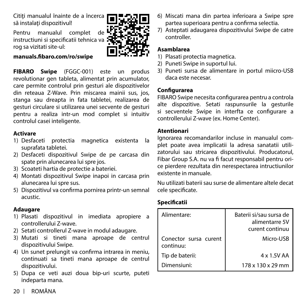<span id="page-19-0"></span>Cititi manualul înainte de a încerca să instalați dispozițivul!

Pentru manualul complet de instructiuni si specificatii tehnica va rog sa vizitati site-ul:

#### **manuals.fibaro.com/ro/swipe**

**FIBARO Swipe** (FGGC-001) este un produs revolutionar gen tableta, alimentat prin acumulator, care permite controlul prin gesturi ale dispozitivelor din reteaua Z-Wave. Prin miscarea mainii sus, jos, stanga sau dreapta in fata tabletei, realizarea de gesturi circulare si utilizarea unei secvente de gesturi pentru a realiza intr-un mod complet si intuitiv controlul casei inteligente.

## **Activare**

- 1) Desfaceti protectia magnetica existenta la suprafata tabletei.
- 2) Desfaceti dispozitivul Swipe de pe carcasa din spate prin alunecarea lui spre jos.
- 3) Scoateti hartia de protectie a bateriei.
- 4) Montati dispozitivul Swipe inapoi in carcasa prin alunecarea lui spre sus.
- 5) Dispozitivul va confirma pornirea printr-un semnal acustic.

## **Adaugare**

- 1) Plasati dispozitivul in imediata apropiere a controllerului Z-wave.
- 2) Setati controllerul Z-wave in modul adaugare.
- 3) Mutati si tineti mana aproape de centrul dispozitivului Swipe.
- 4) Un sunet prelungit va confirma intrarea in meniu, continuati sa tineti mana aproape de centrul dispozitivului.
- 5) Dupa ce veti auzi doua bip-uri scurte, puteti indeparta mana.
- 6) Miscati mana din partea inferioara a Swipe spre partea superioara pentru a confirma selectia.
- 7) Asteptati adaugarea dispozitivului Swipe de catre controller.

## **Asamblarea**

- 1) Plasati protectia magnetica.
- 2) Puneti Swipe in suportul lui.
- 3) Puneti sursa de alimentare in portul miicro-USB daca este necesar.

## **Configurarea**

FIBARO Swipe necesita configurarea pentru a controla alte dispozitive. Setati raspunsurile la gesturile si secventele Swipe in interfta ce configurare a controllerului Z-wave (ex. Home Center).

#### **Atentionari**

Ignorarea recomandarilor incluse in manualul complet poate avea implicatii la adresa sanatatii utilizatorului sau stricarea dispozitivului. Producatorul, Fibar Group S.A. nu va fi facut responsabil pentru orice pierdere rezultata din nerespectarea intructiunilor existente in manuale.

Nu utilizati baterii sau surse de alimentare altele decat cele specificate.

# **Specificatii**

| Alimentare:                        | Baterii si/sau sursa de<br>alimentarre 5V<br>curent continuu |
|------------------------------------|--------------------------------------------------------------|
| Conector sursa curent<br>continuu: | Micro-USB                                                    |
| Tip de baterii:                    | 4 x 1.5V AA                                                  |
| Dimensiuni:                        | 178 x 130 x 29 mm                                            |

20 ROMÂNA

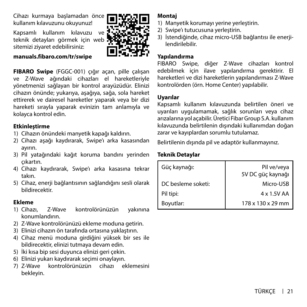<span id="page-20-0"></span>Cihazı kurmaya başlamadan önce kullanım kılavuzunu okuyunuz!

Kapsamlı kullanım kılavuzu ve teknik detavları görmek için web sitemizi ziyaret edebilirsiniz:

#### **manuals.fibaro.com/tr/swipe**

**FIBARO Swipe** (FGGC-001) çığır açan, pille çalışan ve Z-Wave ağındaki cihazları el hareketleriyle yönetmenizi sağlayan bir kontrol arayüzüdür. Elinizi cihazın önünde; yukarıya, aşağıya, sağa, sola hareket ettirerek ve dairesel hareketler yaparak veya bir dizi hareketi sırayla yaparak evinizin tam anlamıyla ve kolayca kontrol edin.

#### **Etkinleştirme**

- 1) Cihazın önündeki manyetik kapağı kaldırın.
- 2) Cihazı aşağı kaydırarak, Swipe'ı arka kasasından ayırın.
- 3) Pil yatağındaki kağıt koruma bandını yerinden çıkartın.
- 4) Cihazı kaydırarak, Swipe'ı arka kasasına tekrar takın.
- 5) Cihaz, enerji bağlantısının sağlandığını sesli olarak bildirecektir.

## **Ekleme**

- 1) Cihazı, Z-Wave kontrolörünüzün yakınına konumlandırın.
- 2) Z-Wave kontrolörünüzü ekleme moduna getirin.
- 3) Elinizi cihazın ön tarafında ortasına yaklaştırın.
- 4) Cihaz menü moduna girdiğini yüksek bir ses ile bildirecektir, elinizi tutmaya devam edin.
- 5) İki kısa bip sesi duyunca elinizi geri çekin.
- 6) Elinizi yukarı kaydırarak seçimi onaylayın.
- 7) Z-Wave kontrolörünüzün cihazı eklemesini bekleyin.

#### **Montaj**

- 1) Manyetik korumayı yerine yerleştirin.
- 2) Swipe'ı tutucusuna yerleştirin.
- 3) İstendiğinde, cihaz micro-USB bağlantısı ile enerjilendirilebilir.

#### **Yapılandırma**

FIBARO Swipe, diğer Z-Wave cihazları kontrol edebilmek için ilave yapılandırma gerektirir. El hareketleri ve dizi hareketlerin yapılandırması Z-Wave kontrolörden (örn. Home Center) yapılabilir.

#### **Uyarılar**

Kapsamlı kullanım kılavuzunda belirtilen öneri ve uyarıları uygulamamak, sağlık sorunları veya cihaz arızalarına yol açabilir. Üretici Fibar Group S.A. kullanım kılavuzunda belirtilenin dışındaki kullanımdan doğan zarar ve kayıplardan sorumlu tutulamaz.

Belirtilenin dışında pil ve adaptör kullanmayınız.

#### **Teknik Detaylar**

| Güç kaynağı:       | Pil ve/veya<br>5V DC güç kaynağı |
|--------------------|----------------------------------|
| DC besleme soketi: | Micro-USB                        |
| Pil tipi:          | 4 x 1.5V AA                      |
| Boyutlar:          | 178 x 130 x 29 mm                |

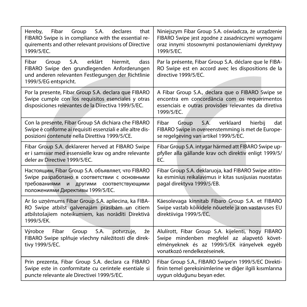| that<br>Hereby,<br>Fibar<br>Group<br>S.A.<br>declares<br>FIBARO Swipe is in compliance with the essential re-<br>quirements and other relevant provisions of Directive<br>1999/5/EC. | Niniejszym Fibar Group S.A. oświadcza, że urządzenie<br>FIBARO Swipe jest zgodne z zasadniczymi wymogami<br>oraz innymi stosownymi postanowieniami dyrektywy<br>1999/5/EC.       |
|--------------------------------------------------------------------------------------------------------------------------------------------------------------------------------------|----------------------------------------------------------------------------------------------------------------------------------------------------------------------------------|
| erklärt<br>Fibar<br>Group<br>S.A.<br>hiermit.<br>dass<br>FIBARO Swipe den grundlegenden Anforderungen<br>und anderen relevanten Festlegungen der Richtlinie<br>1999/5/EG entspricht. | Par la présente, Fibar Group S.A. déclare que le FIBA-<br>RO Swipe est en accord avec les dispositions de la<br>directive 1999/5/EC.                                             |
| Por la presente, Fibar Group S.A. declara que FIBARO<br>Swipe cumple con los requisitos esenciales y otras<br>disposiciones relevantes de la Directiva 1999/5/EC.                    | A Fibar Group S.A., declara que o FIBARO Swipe se<br>encontra em concordância com os requerimentos<br>essenciais e outras provisões relevantes da diretiva<br>1999/5/EC.         |
| Con la presente, Fibar Group SA dichiara che FIBARO<br>Swipe è conforme ai requisiti essenziali e alle altre dis-<br>posizioni contenute nella Direttiva 1999/5/CE.                  | Fibar<br>S.A.<br>verklaard<br>hierbii<br>Group<br>dat<br>FIBARO Swipe in overeenstemming is met de Europe-<br>se regelgeving van artikel 1999/5/EC.                              |
| Fibar Group S.A. deklarerer herved at FIBARO Swipe<br>er i samsvar med essensielle krav og andre relevante<br>deler av Directive 1999/5/EC.                                          | Fibar Group S.A. intygar härmed att FIBARO Swipe up-<br>pfyller alla gällande krav och direktiv enligt 1999/5/<br>EC.                                                            |
| Настоящим, Fibar Group S.A. объявляет, что FIBARO<br>Swipe разработано в соответствии с основными<br>требованиями и другими соответствующими<br>положениями Директивы 1999/5/ЕС.     | Fibar Group S.A. deklaruoja, kad FIBARO Swipe atitin-<br>ka esminius reikalavimus ir kitas susijusias nuostatas<br>pagal direktyva 1999/5/EB.                                    |
| Ar šo uzņēmums Fibar Group S.A. apliecina, ka FIBA-<br>RO Swipe atbilst galvenajām prasībām un citiem<br>atbilstošajiem noteikumiem, kas norādīti Direktīvā<br>1999/5/EK.            | Käesolevaga kinnitab Fibaro Group S.A. et FIBARO<br>Swipe vastab kõikidele nõuetele ja on vastavuses EU<br>direktiiviga 1999/5/EC.                                               |
| S.A.<br>Výrobce<br>Fibar<br>Group<br>potvrzuje,<br>že<br>FIBARO Swipe splňuje všechny náležitosti dle direk-<br>tivy 1999/5/EC.                                                      | Alulírott, Fibar Group S.A. kijelenti, hogy FIBARO<br>Swipe mindenben megfelel az alapvető követ-<br>elményeknek és az 1999/5/EK irányelvek egyéb<br>vonatkozó rendelkezéseinek. |
| Prin prezenta, Fibar Group S.A. declara ca FIBARO<br>Swipe este in conformitate cu cerintele esentiale si<br>puncte relevante ale Directivei 1999/5/EC.                              | Fibar Group S.A., FIBARO Swipe'ın 1999/5/EC Direkti-<br>finin temel gereksinimlerine ve diğer ilgili kısımlarına<br>uygun olduğunu beyan eder.                                   |